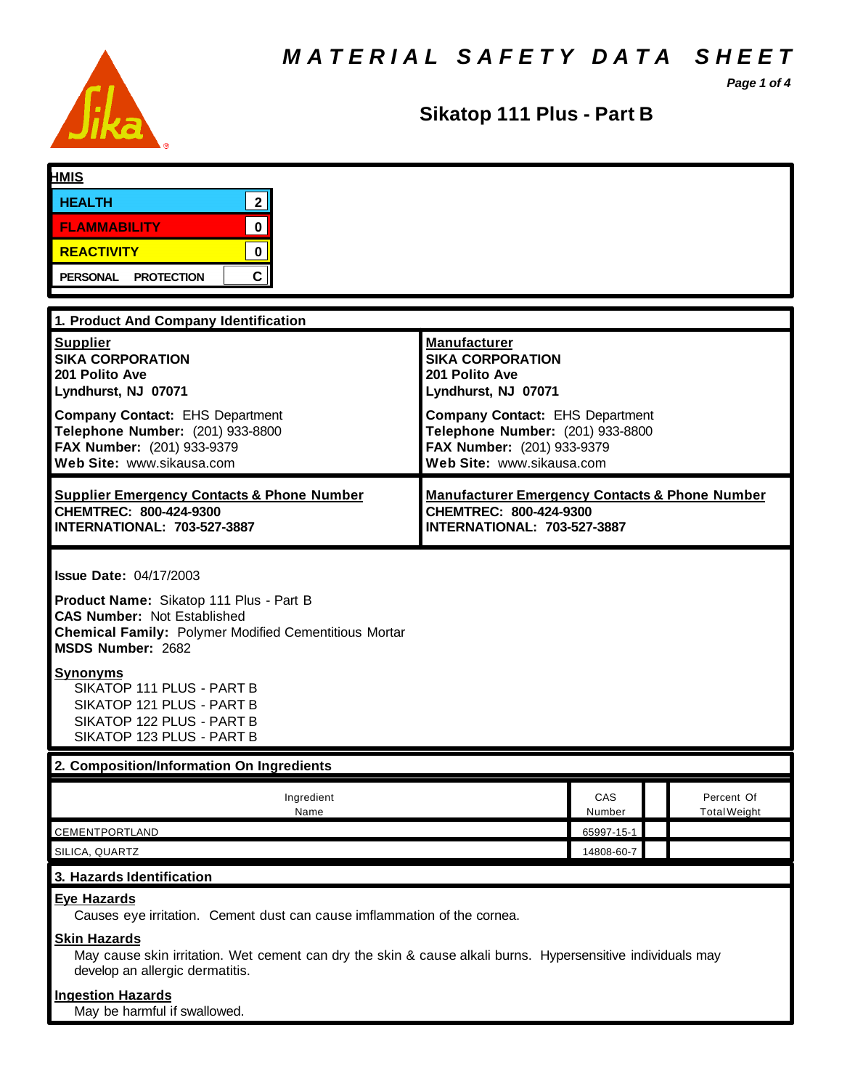*M A T E R I A L S A F E T Y D A T A S H E E T*



**Sikatop 111 Plus - Part B**

*Page 1 of 4*

| <b>HMIS</b>                                                                                                                                                                                                                                                                                                                                       |                                                                                                                                |               |                                   |
|---------------------------------------------------------------------------------------------------------------------------------------------------------------------------------------------------------------------------------------------------------------------------------------------------------------------------------------------------|--------------------------------------------------------------------------------------------------------------------------------|---------------|-----------------------------------|
| 2 <sup>1</sup><br><b>HEALTH</b>                                                                                                                                                                                                                                                                                                                   |                                                                                                                                |               |                                   |
| $\mathbf 0$<br><b>FLAMMABILITY</b>                                                                                                                                                                                                                                                                                                                |                                                                                                                                |               |                                   |
|                                                                                                                                                                                                                                                                                                                                                   |                                                                                                                                |               |                                   |
| $\mathbf 0$<br><b>REACTIVITY</b>                                                                                                                                                                                                                                                                                                                  |                                                                                                                                |               |                                   |
| $\mathbf{C}$<br><b>PERSONAL</b><br><b>PROTECTION</b>                                                                                                                                                                                                                                                                                              |                                                                                                                                |               |                                   |
| 1. Product And Company Identification                                                                                                                                                                                                                                                                                                             |                                                                                                                                |               |                                   |
| <b>Supplier</b><br><b>SIKA CORPORATION</b><br>201 Polito Ave<br>Lyndhurst, NJ 07071                                                                                                                                                                                                                                                               | <b>Manufacturer</b><br><b>SIKA CORPORATION</b><br>201 Polito Ave<br>Lyndhurst, NJ 07071                                        |               |                                   |
| <b>Company Contact: EHS Department</b><br>Telephone Number: (201) 933-8800<br>FAX Number: (201) 933-9379<br>Web Site: www.sikausa.com                                                                                                                                                                                                             | Company Contact: EHS Department<br>Telephone Number: (201) 933-8800<br>FAX Number: (201) 933-9379<br>Web Site: www.sikausa.com |               |                                   |
| <b>Supplier Emergency Contacts &amp; Phone Number</b><br>CHEMTREC: 800-424-9300<br>INTERNATIONAL: 703-527-3887                                                                                                                                                                                                                                    | <b>Manufacturer Emergency Contacts &amp; Phone Number</b><br>CHEMTREC: 800-424-9300<br>INTERNATIONAL: 703-527-3887             |               |                                   |
| <b>Issue Date: 04/17/2003</b><br>Product Name: Sikatop 111 Plus - Part B<br><b>CAS Number: Not Established</b><br><b>Chemical Family: Polymer Modified Cementitious Mortar</b><br><b>MSDS Number: 2682</b><br><u>Synonyms</u><br>SIKATOP 111 PLUS - PART B<br>SIKATOP 121 PLUS - PART B<br>SIKATOP 122 PLUS - PART B<br>SIKATOP 123 PLUS - PART B |                                                                                                                                |               |                                   |
| 2. Composition/Information On Ingredients                                                                                                                                                                                                                                                                                                         |                                                                                                                                |               |                                   |
| Ingredient<br>Name                                                                                                                                                                                                                                                                                                                                |                                                                                                                                | CAS<br>Number | Percent Of<br><b>Total Weight</b> |
| CEMENTPORTLAND                                                                                                                                                                                                                                                                                                                                    |                                                                                                                                | 65997-15-1    |                                   |
| SILICA, QUARTZ                                                                                                                                                                                                                                                                                                                                    |                                                                                                                                | 14808-60-7    |                                   |
| 3. Hazards Identification                                                                                                                                                                                                                                                                                                                         |                                                                                                                                |               |                                   |
| <b>Eye Hazards</b><br>Causes eye irritation. Cement dust can cause imflammation of the cornea.<br><b>Skin Hazards</b>                                                                                                                                                                                                                             |                                                                                                                                |               |                                   |
| May cause skin irritation. Wet cement can dry the skin & cause alkali burns. Hypersensitive individuals may<br>develop an allergic dermatitis.                                                                                                                                                                                                    |                                                                                                                                |               |                                   |
| <b>Ingestion Hazards</b><br>May be harmful if swallowed.                                                                                                                                                                                                                                                                                          |                                                                                                                                |               |                                   |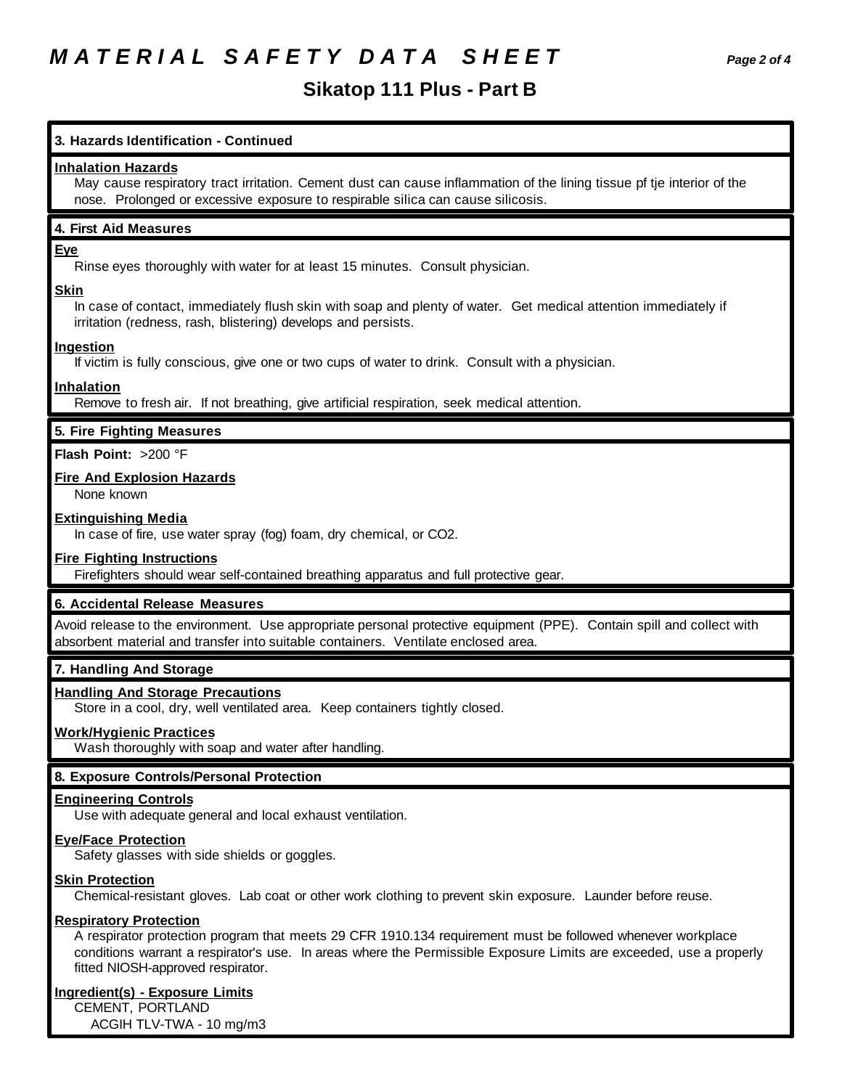# *M A T E R I A L S A F E T Y D A T A S H E E T Page 2 of 4*

# **Sikatop 111 Plus - Part B**

# **3. Hazards Identification - Continued**

#### **Inhalation Hazards**

May cause respiratory tract irritation. Cement dust can cause inflammation of the lining tissue pf tje interior of the nose. Prolonged or excessive exposure to respirable silica can cause silicosis.

#### **4. First Aid Measures**

#### **Eye**

Rinse eyes thoroughly with water for at least 15 minutes. Consult physician.

#### **Skin**

In case of contact, immediately flush skin with soap and plenty of water. Get medical attention immediately if irritation (redness, rash, blistering) develops and persists.

#### **Ingestion**

If victim is fully conscious, give one or two cups of water to drink. Consult with a physician.

#### **Inhalation**

Remove to fresh air. If not breathing, give artificial respiration, seek medical attention.

### **5. Fire Fighting Measures**

**Flash Point:** >200 °F

#### **Fire And Explosion Hazards**

None known

#### **Extinguishing Media**

In case of fire, use water spray (fog) foam, dry chemical, or CO2.

#### **Fire Fighting Instructions**

Firefighters should wear self-contained breathing apparatus and full protective gear.

### **6. Accidental Release Measures**

Avoid release to the environment. Use appropriate personal protective equipment (PPE). Contain spill and collect with absorbent material and transfer into suitable containers. Ventilate enclosed area.

#### **7. Handling And Storage**

#### **Handling And Storage Precautions**

Store in a cool, dry, well ventilated area. Keep containers tightly closed.

#### **Work/Hygienic Practices**

Wash thoroughly with soap and water after handling.

#### **8. Exposure Controls/Personal Protection**

#### **Engineering Controls**

Use with adequate general and local exhaust ventilation.

#### **Eye/Face Protection**

Safety glasses with side shields or goggles.

#### **Skin Protection**

Chemical-resistant gloves. Lab coat or other work clothing to prevent skin exposure. Launder before reuse.

#### **Respiratory Protection**

A respirator protection program that meets 29 CFR 1910.134 requirement must be followed whenever workplace conditions warrant a respirator's use. In areas where the Permissible Exposure Limits are exceeded, use a properly fitted NIOSH-approved respirator.

#### **Ingredient(s) - Exposure Limits**

CEMENT, PORTLAND ACGIH TLV-TWA - 10 mg/m3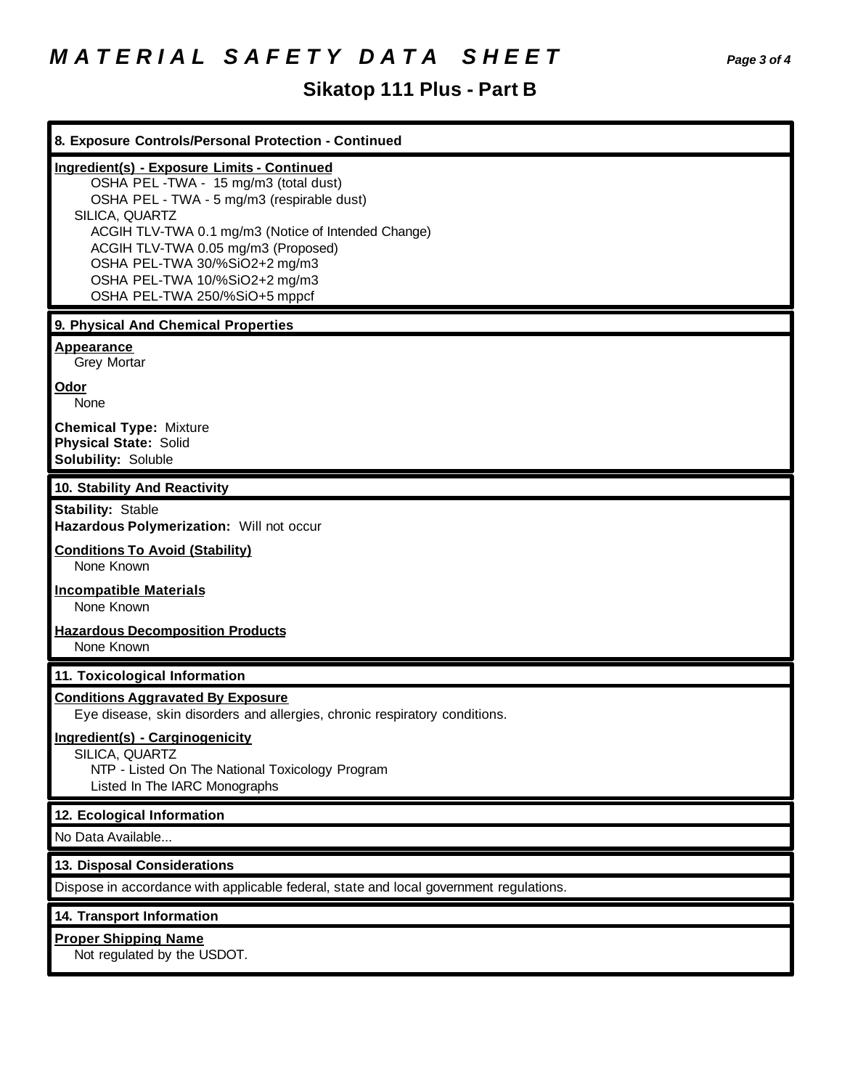# *M A T E R I A L S A F E T Y D A T A S H E E T Page 3 of 4*

# **Sikatop 111 Plus - Part B**

| 8. Exposure Controls/Personal Protection - Continued                                                                                                                                                                                                                                                                                                        |
|-------------------------------------------------------------------------------------------------------------------------------------------------------------------------------------------------------------------------------------------------------------------------------------------------------------------------------------------------------------|
| <b>Ingredient(s) - Exposure Limits - Continued</b><br>OSHA PEL-TWA - 15 mg/m3 (total dust)<br>OSHA PEL - TWA - 5 mg/m3 (respirable dust)<br>SILICA, QUARTZ<br>ACGIH TLV-TWA 0.1 mg/m3 (Notice of Intended Change)<br>ACGIH TLV-TWA 0.05 mg/m3 (Proposed)<br>OSHA PEL-TWA 30/%SiO2+2 mg/m3<br>OSHA PEL-TWA 10/%SiO2+2 mg/m3<br>OSHA PEL-TWA 250/%SiO+5 mppcf |
| 9. Physical And Chemical Properties                                                                                                                                                                                                                                                                                                                         |
| <b>Appearance</b><br>Grey Mortar                                                                                                                                                                                                                                                                                                                            |
| Odor<br>None                                                                                                                                                                                                                                                                                                                                                |
| <b>Chemical Type: Mixture</b><br><b>Physical State: Solid</b><br>Solubility: Soluble                                                                                                                                                                                                                                                                        |
| 10. Stability And Reactivity                                                                                                                                                                                                                                                                                                                                |
| <b>Stability: Stable</b><br>Hazardous Polymerization: Will not occur                                                                                                                                                                                                                                                                                        |
| <b>Conditions To Avoid (Stability)</b><br>None Known                                                                                                                                                                                                                                                                                                        |
| <b>Incompatible Materials</b><br>None Known                                                                                                                                                                                                                                                                                                                 |
| <b>Hazardous Decomposition Products</b><br>None Known                                                                                                                                                                                                                                                                                                       |
| 11. Toxicological Information                                                                                                                                                                                                                                                                                                                               |
| <b>Conditions Aggravated By Exposure</b><br>Eye disease, skin disorders and allergies, chronic respiratory conditions.                                                                                                                                                                                                                                      |
| Ingredient(s) - Carginogenicity<br>SILICA, QUARTZ<br>NTP - Listed On The National Toxicology Program<br>Listed In The IARC Monographs                                                                                                                                                                                                                       |
| 12. Ecological Information                                                                                                                                                                                                                                                                                                                                  |
| No Data Available                                                                                                                                                                                                                                                                                                                                           |
| 13. Disposal Considerations                                                                                                                                                                                                                                                                                                                                 |
| Dispose in accordance with applicable federal, state and local government regulations.                                                                                                                                                                                                                                                                      |
| 14. Transport Information                                                                                                                                                                                                                                                                                                                                   |
| <b>Proper Shipping Name</b><br>Not regulated by the USDOT.                                                                                                                                                                                                                                                                                                  |
|                                                                                                                                                                                                                                                                                                                                                             |